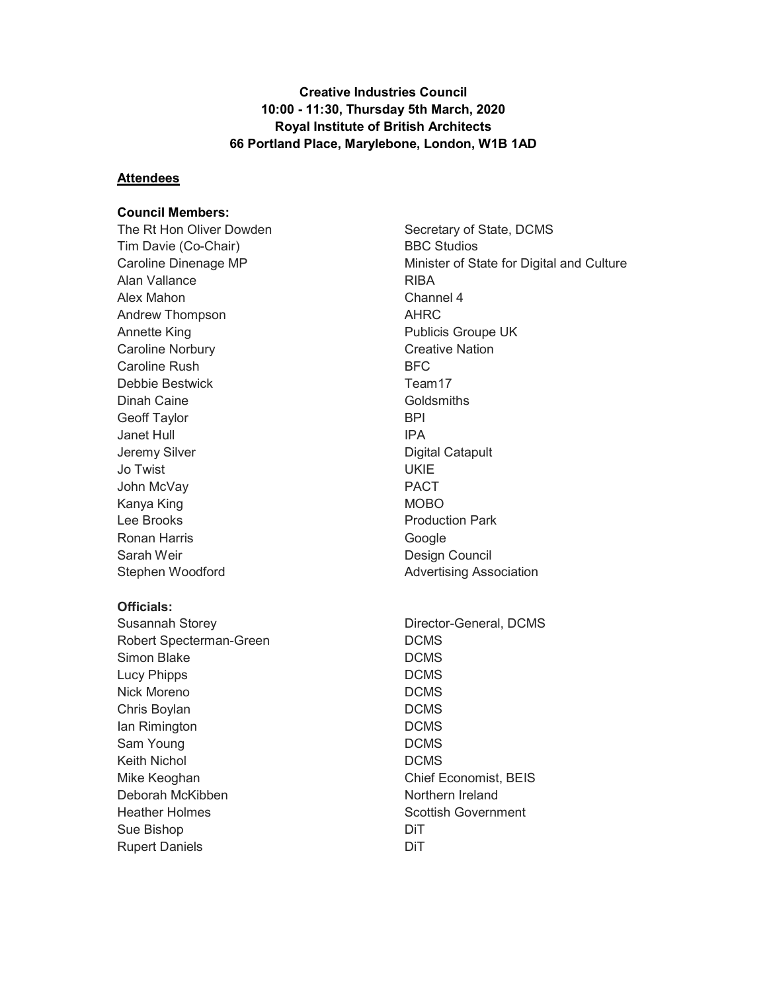Creative Industries Council 10:00 - 11:30, Thursday 5th March, 2020 Royal Institute of British Architects 66 Portland Place, Marylebone, London, W1B 1AD

#### **Attendees**

#### Council Members:

The Rt Hon Oliver Dowden Tim Davie (Co-Chair) Caroline Dinenage MP Alan Vallance Alex Mahon Andrew Thompson Annette King Caroline Norbury Caroline Rush Debbie Bestwick Dinah Caine Geoff Taylor Janet Hull Jeremy Silver Jo Twist John McVay Kanya King Lee Brooks Ronan Harris Sarah Weir Stephen Woodford

#### Officials:

Susannah Storey Robert Specterman-Green Simon Blake Lucy Phipps Nick Moreno Chris Boylan Ian Rimington Sam Young Keith Nichol Mike Keoghan Deborah McKibben Heather Holmes Sue Bishop Rupert Daniels

Secretary of State, DCMS BBC Studios Minister of State for Digital and Culture RIBA Channel 4 AHRC Publicis Groupe UK Creative Nation BFC Team17 **Goldsmiths** BPI IPA Digital Catapult UKIE PACT MOBO Production Park Google Design Council Advertising Association Director-General, DCMS DCMS DCMS DCMS DCMS DCMS DCMS

DCMS DCMS

DiT DiT

Chief Economist, BEIS Northern Ireland Scottish Government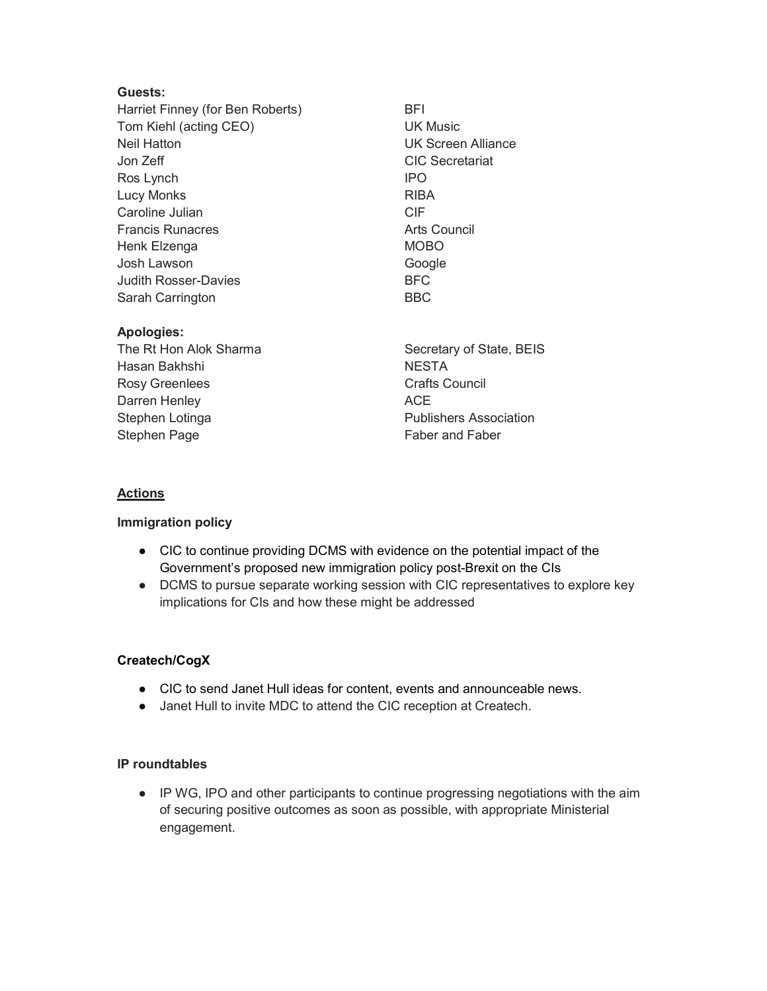### Guests:

Harriet Finney (for Ben Roberts) Tom Kiehl (acting CEO) Neil Hatton Jon Zeff Ros Lynch Lucy Monks Caroline Julian Francis Runacres Henk Elzenga Josh Lawson Judith Rosser-Davies Sarah Carrington

BFI UK Music UK Screen Alliance CIC Secretariat IPO RIBA CIF Arts Council MOBO Google BFC BBC

# Apologies:

The Rt Hon Alok Sharma Hasan Bakhshi Rosy Greenlees Darren Henley Stephen Lotinga Stephen Page

Secretary of State, BEIS **NESTA** Crafts Council ACE Publishers Association Faber and Faber

## **Actions**

### Immigration policy

- CIC to continue providing DCMS with evidence on the potential impact of the Government's proposed new immigration policy post-Brexit on the CIs
- DCMS to pursue separate working session with CIC representatives to explore key implications for CIs and how these might be addressed

## Createch/CogX

- CIC to send Janet Hull ideas for content, events and announceable news.
- Janet Hull to invite MDC to attend the CIC reception at Createch.

### IP roundtables

● IP WG, IPO and other participants to continue progressing negotiations with the aim of securing positive outcomes as soon as possible, with appropriate Ministerial engagement.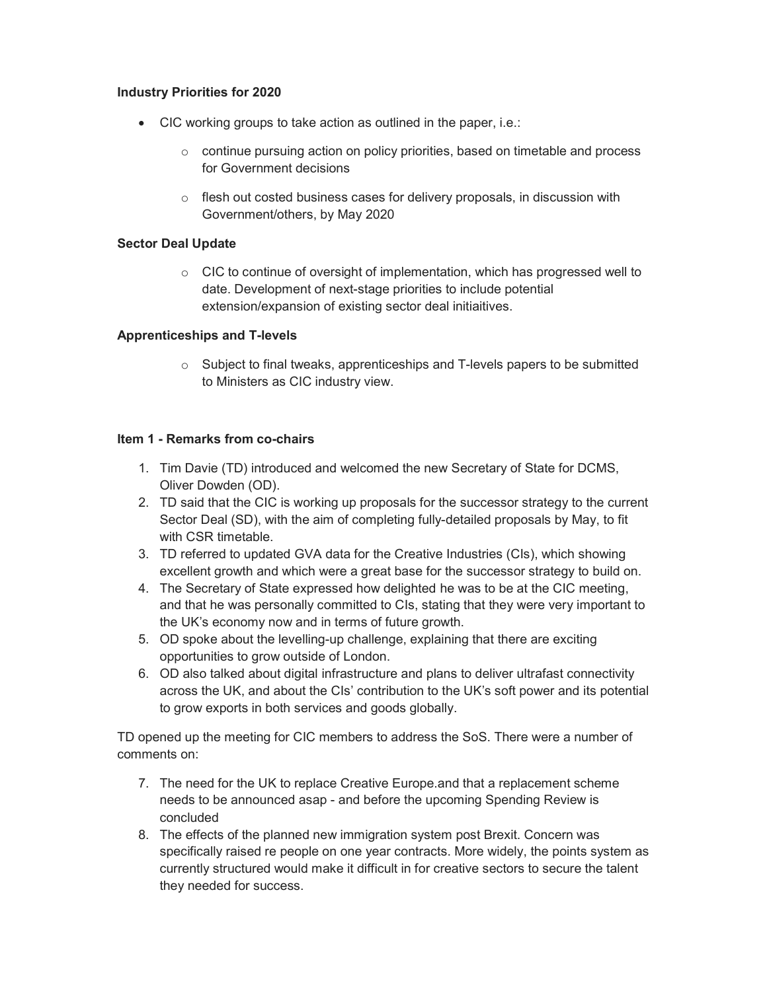### Industry Priorities for 2020

- CIC working groups to take action as outlined in the paper, i.e.:
	- o continue pursuing action on policy priorities, based on timetable and process for Government decisions
	- $\circ$  flesh out costed business cases for delivery proposals, in discussion with Government/others, by May 2020

## Sector Deal Update

 $\circ$  CIC to continue of oversight of implementation, which has progressed well to date. Development of next-stage priorities to include potential extension/expansion of existing sector deal initiaitives.

## Apprenticeships and T-levels

o Subject to final tweaks, apprenticeships and T-levels papers to be submitted to Ministers as CIC industry view.

## Item 1 - Remarks from co-chairs

- 1. Tim Davie (TD) introduced and welcomed the new Secretary of State for DCMS, Oliver Dowden (OD).
- 2. TD said that the CIC is working up proposals for the successor strategy to the current Sector Deal (SD), with the aim of completing fully-detailed proposals by May, to fit with CSR timetable.
- 3. TD referred to updated GVA data for the Creative Industries (CIs), which showing excellent growth and which were a great base for the successor strategy to build on.
- 4. The Secretary of State expressed how delighted he was to be at the CIC meeting, and that he was personally committed to CIs, stating that they were very important to the UK's economy now and in terms of future growth.
- 5. OD spoke about the levelling-up challenge, explaining that there are exciting opportunities to grow outside of London.
- 6. OD also talked about digital infrastructure and plans to deliver ultrafast connectivity across the UK, and about the CIs' contribution to the UK's soft power and its potential to grow exports in both services and goods globally.

TD opened up the meeting for CIC members to address the SoS. There were a number of comments on:

- 7. The need for the UK to replace Creative Europe.and that a replacement scheme needs to be announced asap - and before the upcoming Spending Review is concluded
- 8. The effects of the planned new immigration system post Brexit. Concern was specifically raised re people on one year contracts. More widely, the points system as currently structured would make it difficult in for creative sectors to secure the talent they needed for success.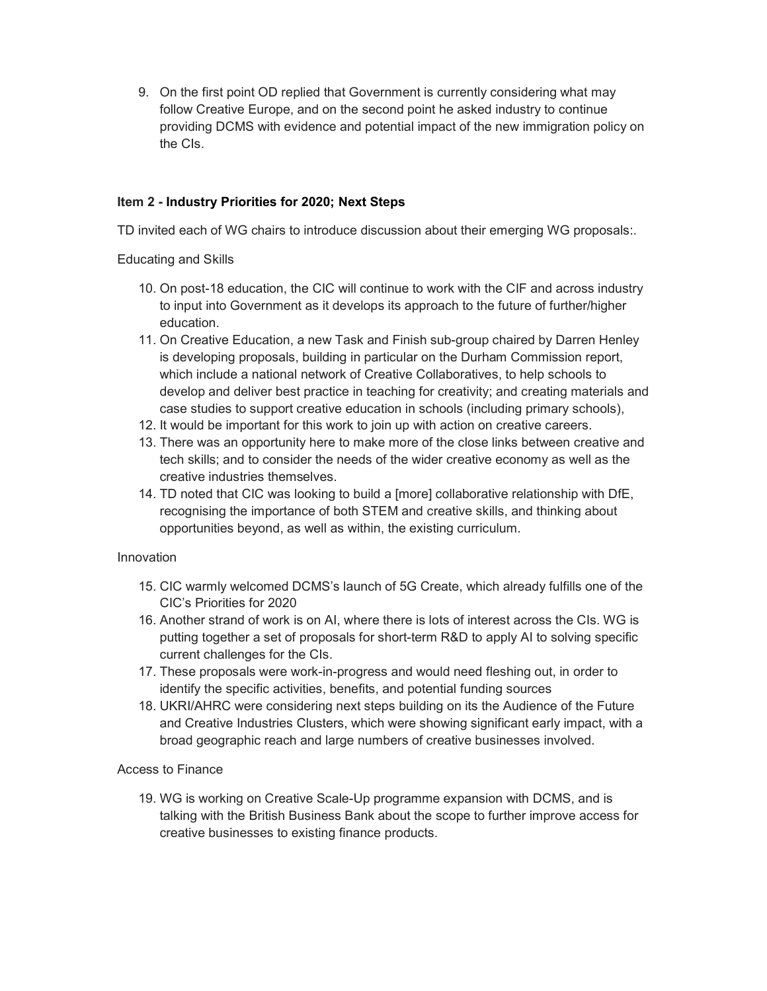9. On the first point OD replied that Government is currently considering what may follow Creative Europe, and on the second point he asked industry to continue providing DCMS with evidence and potential impact of the new immigration policy on the CIs.

## Item 2 - Industry Priorities for 2020; Next Steps

TD invited each of WG chairs to introduce discussion about their emerging WG proposals:.

Educating and Skills

- 10. On post-18 education, the CIC will continue to work with the CIF and across industry to input into Government as it develops its approach to the future of further/higher education.
- 11. On Creative Education, a new Task and Finish sub-group chaired by Darren Henley is developing proposals, building in particular on the Durham Commission report, which include a national network of Creative Collaboratives, to help schools to develop and deliver best practice in teaching for creativity; and creating materials and case studies to support creative education in schools (including primary schools),
- 12. It would be important for this work to join up with action on creative careers.
- 13. There was an opportunity here to make more of the close links between creative and tech skills; and to consider the needs of the wider creative economy as well as the creative industries themselves.
- 14. TD noted that CIC was looking to build a [more] collaborative relationship with DfE, recognising the importance of both STEM and creative skills, and thinking about opportunities beyond, as well as within, the existing curriculum.

### Innovation

- 15. CIC warmly welcomed DCMS's launch of 5G Create, which already fulfills one of the CIC's Priorities for 2020
- 16. Another strand of work is on AI, where there is lots of interest across the CIs. WG is putting together a set of proposals for short-term R&D to apply AI to solving specific current challenges for the CIs.
- 17. These proposals were work-in-progress and would need fleshing out, in order to identify the specific activities, benefits, and potential funding sources
- 18. UKRI/AHRC were considering next steps building on its the Audience of the Future and Creative Industries Clusters, which were showing significant early impact, with a broad geographic reach and large numbers of creative businesses involved.

### Access to Finance

19. WG is working on Creative Scale-Up programme expansion with DCMS, and is talking with the British Business Bank about the scope to further improve access for creative businesses to existing finance products.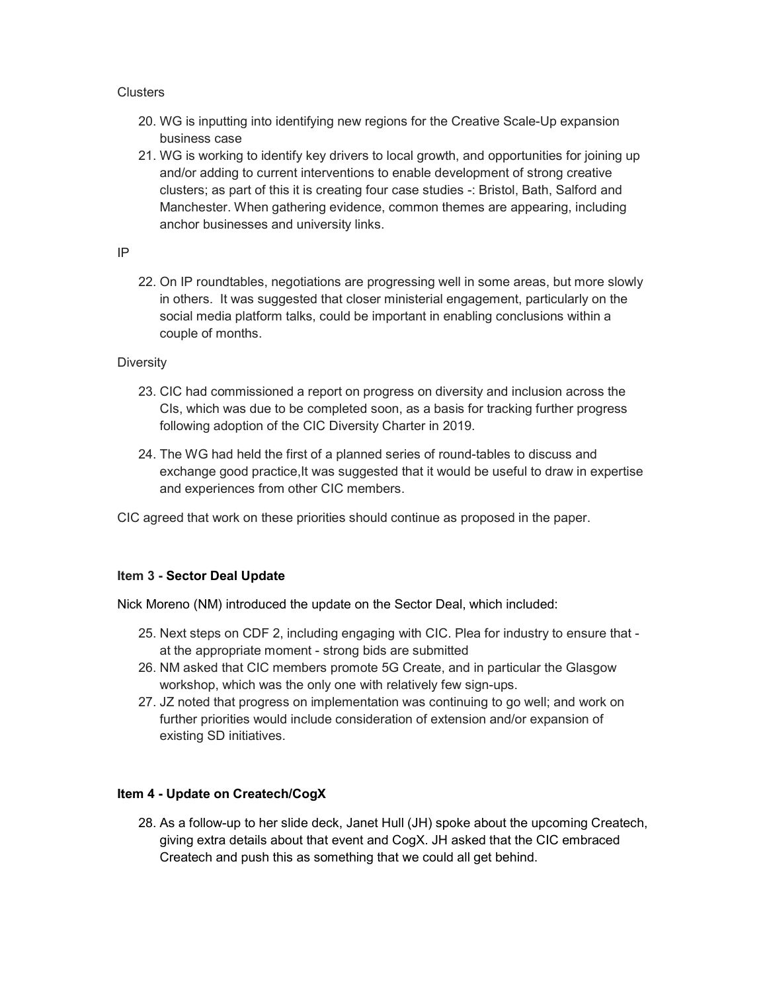### Clusters

- 20. WG is inputting into identifying new regions for the Creative Scale-Up expansion business case
- 21. WG is working to identify key drivers to local growth, and opportunities for joining up and/or adding to current interventions to enable development of strong creative clusters; as part of this it is creating four case studies -: Bristol, Bath, Salford and Manchester. When gathering evidence, common themes are appearing, including anchor businesses and university links.

### IP

22. On IP roundtables, negotiations are progressing well in some areas, but more slowly in others. It was suggested that closer ministerial engagement, particularly on the social media platform talks, could be important in enabling conclusions within a couple of months.

## **Diversity**

- 23. CIC had commissioned a report on progress on diversity and inclusion across the CIs, which was due to be completed soon, as a basis for tracking further progress following adoption of the CIC Diversity Charter in 2019.
- 24. The WG had held the first of a planned series of round-tables to discuss and exchange good practice,It was suggested that it would be useful to draw in expertise and experiences from other CIC members.

CIC agreed that work on these priorities should continue as proposed in the paper.

## Item 3 - Sector Deal Update

Nick Moreno (NM) introduced the update on the Sector Deal, which included:

- 25. Next steps on CDF 2, including engaging with CIC. Plea for industry to ensure that at the appropriate moment - strong bids are submitted
- 26. NM asked that CIC members promote 5G Create, and in particular the Glasgow workshop, which was the only one with relatively few sign-ups.
- 27. JZ noted that progress on implementation was continuing to go well; and work on further priorities would include consideration of extension and/or expansion of existing SD initiatives.

## Item 4 - Update on Createch/CogX

28. As a follow-up to her slide deck, Janet Hull (JH) spoke about the upcoming Createch, giving extra details about that event and CogX. JH asked that the CIC embraced Createch and push this as something that we could all get behind.